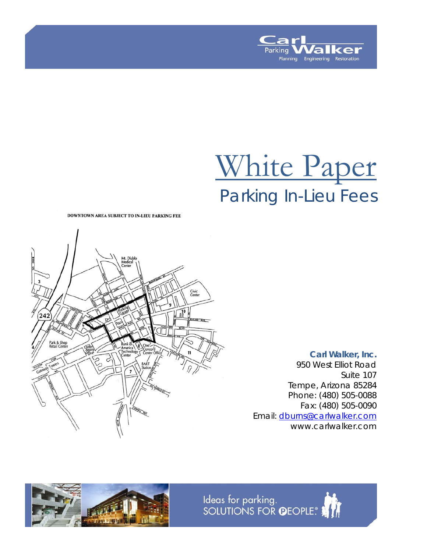

# White PaperParking In-Lieu Fees

DOWNTOWN AREA SUBJECT TO IN-LIEU PARKING FEE



*Carl Walker, Inc.*  950 West Elliot Road Suite 107 Tempe, Arizona 85284 Phone: (480) 505-0088 Fax: (480) 505-0090 Email: [dburns@carlwalker.com](mailto:dburns@carlwalker.com) www.carlwalker.com



Ideas for parking.<br>SOLUTIONS FOR **O**EOPLE: A T

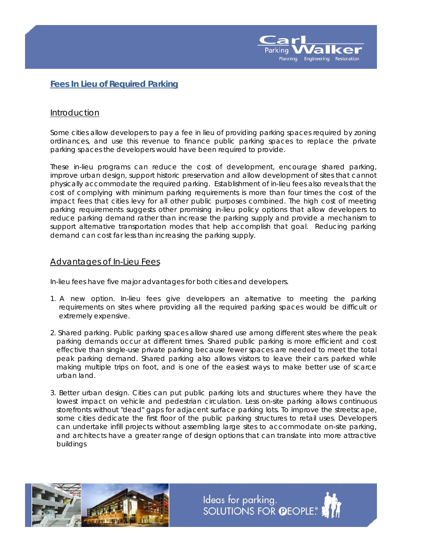

# **Fees In Lieu of Required Parking**

## Introduction

Some cities allow developers to pay a fee in lieu of providing parking spaces required by zoning ordinances, and use this revenue to finance public parking spaces to replace the private parking spaces the developers would have been required to provide.

These in-lieu programs can reduce the cost of development, encourage shared parking, improve urban design, support historic preservation and allow development of sites that cannot physically accommodate the required parking. Establishment of in-lieu fees also reveals that the cost of complying with minimum parking requirements is more than four times the cost of the impact fees that cities levy for all other public purposes combined. The high cost of meeting parking requirements suggests other promising in-lieu policy options that allow developers to reduce parking demand rather than increase the parking supply and provide a mechanism to support alternative transportation modes that help accomplish that goal. Reducing parking demand can cost far less than increasing the parking supply.

## Advantages of In-Lieu Fees

In-lieu fees have five major advantages for both cities and developers.

- 1. *A new option*. In-lieu fees give developers an alternative to meeting the parking requirements on sites where providing all the required parking spaces would be difficult or extremely expensive.
- 2. *Shared parking*. Public parking spaces allow shared use among different sites where the peak parking demands occur at different times. Shared public parking is more efficient and cost effective than single-use private parking because fewer spaces are needed to meet the total peak parking demand. Shared parking also allows visitors to leave their cars parked while making multiple trips on foot, and is one of the easiest ways to make better use of scarce urban land.
- 3. *Better urban design.* Cities can put public parking lots and structures where they have the lowest impact on vehicle and pedestrian circulation. Less on-site parking allows continuous storefronts without "dead" gaps for adjacent surface parking lots. To improve the streetscape, some cities dedicate the first floor of the public parking structures to retail uses. Developers can undertake infill projects without assembling large sites to accommodate on-site parking, and architects have a greater range of design options that can translate into more attractive buildings



Ideas for parking.<br>SOLUTIONS FOR **O**EOPLE.®

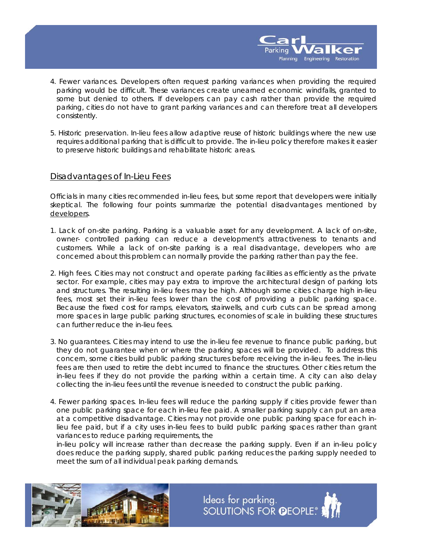

- 4. Fewer variances. Developers often request parking variances when providing the required parking would be difficult. These variances create unearned economic windfalls, granted to some but denied to others. If developers can pay cash rather than provide the required parking, cities do not have to grant parking variances and can therefore treat all developers consistently.
- 5. *Historic preservation*. In-lieu fees allow adaptive reuse of historic buildings where the new use requires additional parking that is difficult to provide. The in-lieu policy therefore makes it easier to preserve historic buildings and rehabilitate historic areas.

## Disadvantages of In-Lieu Fees

Officials in many cities recommended in-lieu fees, but some report that developers were initially skeptical. The following four points summarize the potential disadvantages mentioned by developers.

- 1. *Lack of on-site parking.* Parking is a valuable asset for any development. A lack of on-site, owner- controlled parking can reduce a development's attractiveness to tenants and customers. While a lack of on-site parking is a real disadvantage, developers who are concerned about this problem can normally provide the parking rather than pay the fee.
- 2. *High fees*. Cities may not construct and operate parking facilities as efficiently as the private sector. For example, cities may pay extra to improve the architectural design of parking lots and structures. The resulting in-lieu fees may be high. Although some cities charge high in-lieu fees, most set their in-lieu fees lower than the cost of providing a public parking space. Because the fixed cost for ramps, elevators, stairwells, and curb cuts can be spread among more spaces in large public parking structures, economies of scale in building these structures can further reduce the in-lieu fees.
- 3. *No guarantees.* Cities may intend to use the in-lieu fee revenue to finance public parking, but they do not guarantee when or where the parking spaces will be provided. To address this concern, some cities build public parking structures before receiving the in-lieu fees. The in-lieu fees are then used to retire the debt incurred to finance the structures. Other cities return the in-lieu fees if they do not provide the parking within a certain time. A city can also delay collecting the in-lieu fees until the revenue is needed to construct the public parking.
- 4. *Fewer parking spaces*. In-lieu fees will reduce the parking supply if cities provide fewer than one public parking space for each in-lieu fee paid. A smaller parking supply can put an area at a competitive disadvantage. Cities may not provide one public parking space for each inlieu fee paid, but if a city uses in-lieu fees to build public parking spaces rather than grant variances to reduce parking requirements, the

in-lieu policy will increase rather than decrease the parking supply. Even if an in-lieu policy does reduce the parking supply, shared public parking reduces the parking supply needed to meet the sum of all individual peak parking demands.



Ideas for parking.<br>SOLUTIONS FOR **O**EOPLE.®

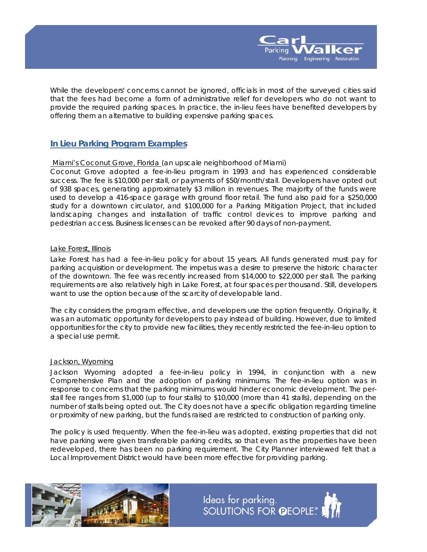

While the developers' concerns cannot be ignored, officials in most of the surveyed cities said that the fees had become a form of administrative relief for developers who do not want to provide the required parking spaces. In practice, the in-lieu fees have benefited developers by offering them an alternative to building expensive parking spaces.

## **In Lieu Parking Program Examples**

Miami's Coconut Grove, Florida (an upscale neighborhood of Miami)

Coconut Grove adopted a fee-in-lieu program in 1993 and has experienced considerable success. The fee is \$10,000 per stall, or payments of \$50/month/stall. Developers have opted out of 938 spaces, generating approximately \$3 million in revenues. The majority of the funds were used to develop a 416-space garage with ground floor retail. The fund also paid for a \$250,000 study for a downtown circulator, and \$100,000 for a Parking Mitigation Project, that included landscaping changes and installation of traffic control devices to improve parking and pedestrian access. Business licenses can be revoked after 90 days of non-payment.

#### Lake Forest, Illinois

Lake Forest has had a fee-in-lieu policy for about 15 years. All funds generated must pay for parking acquisition or development. The impetus was a desire to preserve the historic character of the downtown. The fee was recently increased from \$14,000 to \$22,000 per stall. The parking requirements are also relatively high in Lake Forest, at four spaces per thousand. Still, developers want to use the option because of the scarcity of developable land.

The city considers the program effective, and developers use the option frequently. Originally, it was an automatic opportunity for developers to pay instead of building. However, due to limited opportunities for the city to provide new facilities, they recently restricted the fee-in-lieu option to a special use permit.

#### Jackson, Wyoming

Jackson Wyoming adopted a fee-in-lieu policy in 1994, in conjunction with a new Comprehensive Plan and the adoption of parking minimums. The fee-in-lieu option was in response to concerns that the parking minimums would hinder economic development. The perstall fee ranges from \$1,000 (up to four stalls) to \$10,000 (more than 41 stalls), depending on the number of stalls being opted out. The City does not have a specific obligation regarding timeline or proximity of new parking, but the funds raised are restricted to construction of parking only.

The policy is used frequently. When the fee-in-lieu was adopted, existing properties that did not have parking were given transferable parking credits, so that even as the properties have been redeveloped, there has been no parking requirement. The City Planner interviewed felt that a Local Improvement District would have been more effective for providing parking.



Ideas for parking.<br>SOLUTIONS FOR **O**EOPLE.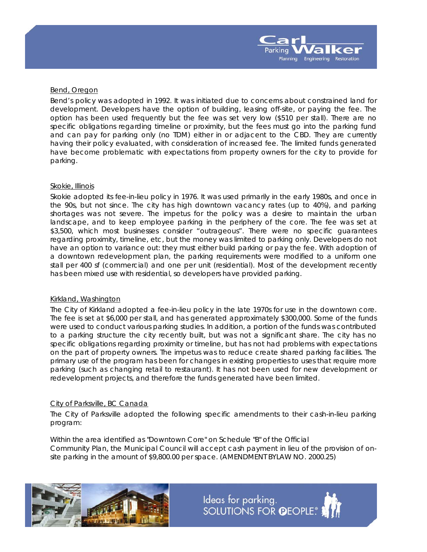

#### Bend, Oregon

Bend's policy was adopted in 1992. It was initiated due to concerns about constrained land for development. Developers have the option of building, leasing off-site, or paying the fee. The option has been used frequently but the fee was set very low (\$510 per stall). There are no specific obligations regarding timeline or proximity, but the fees must go into the parking fund and can pay for parking only (no TDM) either in or adjacent to the CBD. They are currently having their policy evaluated, with consideration of increased fee. The limited funds generated have become problematic with expectations from property owners for the city to provide for parking.

#### Skokie, Illinois

Skokie adopted its fee-in-lieu policy in 1976. It was used primarily in the early 1980s, and once in the 90s, but not since. The city has high downtown vacancy rates (up to 40%), and parking shortages was not severe. The impetus for the policy was a desire to maintain the urban landscape, and to keep employee parking in the periphery of the core. The fee was set at \$3,500, which most businesses consider "outrageous". There were no specific guarantees regarding proximity, timeline, etc, but the money was limited to parking only. Developers do not have an option to variance out: they must either build parking or pay the fee. With adoption of a downtown redevelopment plan, the parking requirements were modified to a uniform one stall per 400 sf (commercial) and one per unit (residential). Most of the development recently has been mixed use with residential, so developers have provided parking.

#### Kirkland, Washington

The City of Kirkland adopted a fee-in-lieu policy in the late 1970s for use in the downtown core. The fee is set at \$6,000 per stall, and has generated approximately \$300,000. Some of the funds were used to conduct various parking studies. In addition, a portion of the funds was contributed to a parking structure the city recently built, but was not a significant share. The city has no specific obligations regarding proximity or timeline, but has not had problems with expectations on the part of property owners. The impetus was to reduce create shared parking facilities. The primary use of the program has been for changes in existing properties to uses that require more parking (such as changing retail to restaurant). It has not been used for new development or redevelopment projects, and therefore the funds generated have been limited.

#### City of Parksville, BC Canada

The City of Parksville adopted the following specific amendments to their cash-in-lieu parking program:

Within the area identified as "Downtown Core" on Schedule "B" of the Official Community Plan, the Municipal Council will accept cash payment in lieu of the provision of onsite parking in the amount of \$9,800.00 per space. (AMENDMENT BYLAW NO. 2000.25)



Ideas for parking.<br>SOLUTIONS FOR **O**EOPLE.

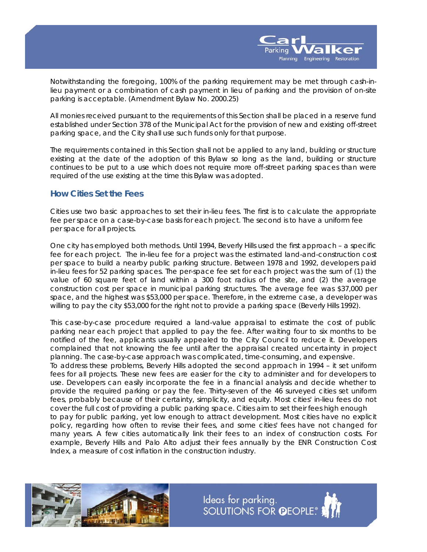

Notwithstanding the foregoing, 100% of the parking requirement may be met through cash-inlieu payment or a combination of cash payment in lieu of parking and the provision of on-site parking is acceptable. (Amendment Bylaw No. 2000.25)

All monies received pursuant to the requirements of this Section shall be placed in a reserve fund established under Section 378 of the Municipal Act for the provision of new and existing off-street parking space, and the City shall use such funds only for that purpose.

The requirements contained in this Section shall not be applied to any land, building or structure existing at the date of the adoption of this Bylaw so long as the land, building or structure continues to be put to a use which does not require more off-street parking spaces than were required of the use existing at the time this Bylaw was adopted.

## **How Cities Set the Fees**

Cities use two basic approaches to set their in-lieu fees. The first is to calculate the appropriate fee per space on a case-by-case basis for each project. The second is to have a uniform fee per space for all projects.

One city has employed both methods. Until 1994, Beverly Hills used the first approach – a specific fee for each project. The in-lieu fee for a project was the estimated land-and-construction cost per space to build a nearby public parking structure. Between 1978 and 1992, developers paid in-lieu fees for 52 parking spaces. The per-space fee set for each project was the sum of (1) the value of 60 square feet of land within a 300 foot radius of the site, and (2) the average construction cost per space in municipal parking structures. The average fee was \$37,000 per space, and the highest was \$53,000 per space. Therefore, in the extreme case, a developer was willing to pay the city \$53,000 for the right not to provide a parking space (Beverly Hills 1992).

This case-by-case procedure required a land-value appraisal to estimate the cost of public parking near each project that applied to pay the fee. After waiting four to six months to be notified of the fee, applicants usually appealed to the City Council to reduce it. Developers complained that not knowing the fee until after the appraisal created uncertainty in project planning. The case-by-case approach was complicated, time-consuming, and expensive.

To address these problems, Beverly Hills adopted the second approach in 1994 – it set uniform fees for all projects. These new fees are easier for the city to administer and for developers to use. Developers can easily incorporate the fee in a financial analysis and decide whether to provide the required parking or pay the fee. Thirty-seven of the 46 surveyed cities set uniform fees, probably because of their certainty, simplicity, and equity. Most cities' in-lieu fees do not cover the full cost of providing a public parking space. Cities aim to set their fees high enough to pay for public parking, yet low enough to attract development. Most cities have no explicit policy, regarding how often to revise their fees, and some cities' fees have not changed for many years. A few cities automatically link their fees to an index of construction costs. For example, Beverly Hills and Palo Alto adjust their fees annually by the ENR Construction Cost Index, a measure of cost inflation in the construction industry.



Ideas for parking.<br>SOLUTIONS FOR **O**EOPLE.®

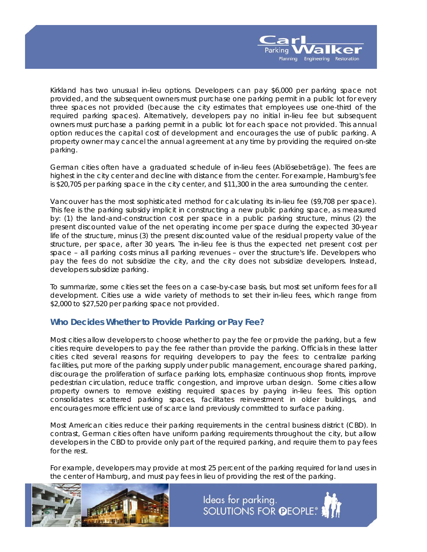

Kirkland has two unusual in-lieu options. Developers can pay \$6,000 per parking space not provided, and the subsequent owners must purchase one parking permit in a public lot for every three spaces not provided (because the city estimates that employees use one-third of the required parking spaces). Alternatively, developers pay no initial in-lieu fee but subsequent owners must purchase a parking permit in a public lot for each space not provided. This annual option reduces the capital cost of development and encourages the use of public parking. A property owner may cancel the annual agreement at any time by providing the required on-site parking.

German cities often have a graduated schedule of in-lieu fees (Ablösebeträge). The fees are highest in the city center and decline with distance from the center. For example, Hamburg's fee is \$20,705 per parking space in the city center, and \$11,300 in the area surrounding the center.

Vancouver has the most sophisticated method for calculating its in-lieu fee (\$9,708 per space). This fee is the parking subsidy implicit in constructing a new public parking space, as measured by: (1) the land-and-construction cost per space in a public parking structure, minus (2) the present discounted value of the net operating income per space during the expected 30-year life of the structure, minus (3) the present discounted value of the residual property value of the structure, per space, after 30 years. The in-lieu fee is thus the expected net present cost per space – all parking costs minus all parking revenues – over the structure's life. Developers who pay the fees do not subsidize the city, and the city does not subsidize developers. Instead, developers subsidize parking.

To summarize, some cities set the fees on a case-by-case basis, but most set uniform fees for all development. Cities use a wide variety of methods to set their in-lieu fees, which range from \$2,000 to \$27,520 per parking space not provided.

## **Who Decides Whether to Provide Parking or Pay Fee?**

Most cities allow developers to choose whether to pay the fee or provide the parking, but a few cities require developers to pay the fee rather than provide the parking. Officials in these latter cities cited several reasons for requiring developers to pay the fees: to centralize parking facilities, put more of the parking supply under public management, encourage shared parking, discourage the proliferation of surface parking lots, emphasize continuous shop fronts, improve pedestrian circulation, reduce traffic congestion, and improve urban design. Some cities allow property owners to remove existing required spaces by paying in-lieu fees. This option consolidates scattered parking spaces, facilitates reinvestment in older buildings, and encourages more efficient use of scarce land previously committed to surface parking.

Most American cities reduce their parking requirements in the central business district (CBD). In contrast, German cities often have uniform parking requirements throughout the city, but allow developers in the CBD to provide only part of the required parking, and require them to pay fees for the rest.

For example, developers may provide at most 25 percent of the parking required for land uses in the center of Hamburg, and must pay fees in lieu of providing the rest of the parking.



Ideas for parking. SOLUTIONS FOR **OEOPLE**.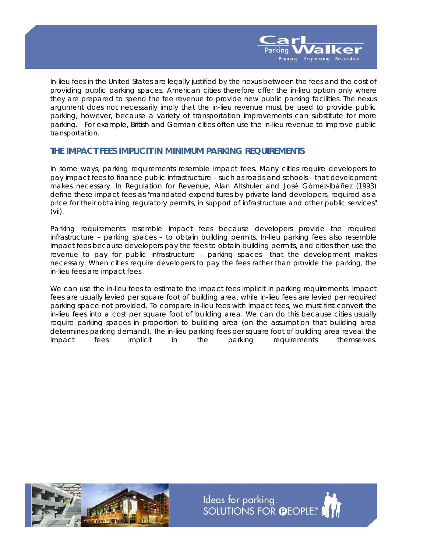

In-lieu fees in the United States are legally justified by the nexus between the fees and the cost of providing public parking spaces. American cities therefore offer the in-lieu option only where they are prepared to spend the fee revenue to provide new public parking facilities. The nexus argument does not necessarily imply that the in-lieu revenue must be used to provide public parking, however, because a variety of transportation improvements can substitute for more parking. For example, British and German cities often use the in-lieu revenue to improve public transportation.

## **THE IMPACT FEES IMPLICIT IN MINIMUM PARKING REQUIREMENTS**

In some ways, parking requirements resemble impact fees. Many cities require developers to pay impact fees to finance public infrastructure – such as roads and schools – that development makes necessary. In Regulation for Revenue, Alan Altshuler and José Gómez-Ibáñez (1993) define these impact fees as "mandated expenditures by private land developers, required as a price for their obtaining regulatory permits, in support of infrastructure and other public services" (vii).

Parking requirements resemble impact fees because developers provide the required infrastructure – parking spaces – to obtain building permits. In-lieu parking fees also resemble impact fees because developers pay the fees to obtain building permits, and cities then use the revenue to pay for public infrastructure – parking spaces– that the development makes necessary. When cities require developers to pay the fees rather than provide the parking, the in-lieu fees are impact fees.

We can use the in-lieu fees to estimate the impact fees implicit in parking requirements. Impact fees are usually levied per square foot of building area, while in-lieu fees are levied per required parking space not provided. To compare in-lieu fees with impact fees, we must first convert the in-lieu fees into a cost per square foot of building area. We can do this because cities usually require parking spaces in proportion to building area (on the assumption that building area determines parking demand). The in-lieu parking fees per square foot of building area reveal the impact fees implicit in the parking requirements themselves.



Ideas for parking.<br>SOLUTIONS FOR @EOPLE.®

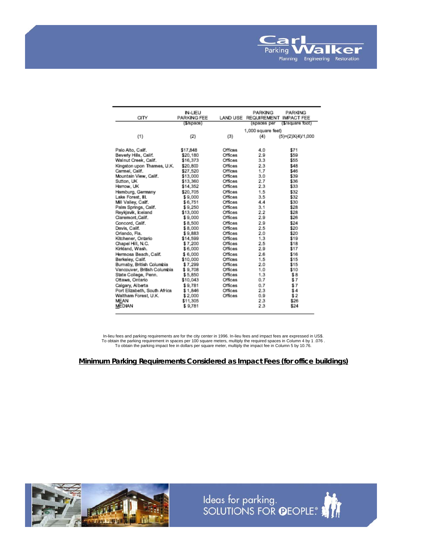

| CITY                         | <b>IN-LIEU</b><br>PARKING FEE | LAND USE           | PARKING            | PARKING<br>REQUIREMENT IMPACT FEE |  |
|------------------------------|-------------------------------|--------------------|--------------------|-----------------------------------|--|
|                              | (5/space)                     |                    | (spaces per        | (\$/square foot)                  |  |
|                              |                               |                    | 1,000 square feet) |                                   |  |
| (1)                          | (2)                           | (3)                | (4)                | $(5)=(2)X(4)1,000$                |  |
|                              |                               |                    |                    |                                   |  |
|                              |                               |                    |                    |                                   |  |
| Palo Alto, Calif.            | \$17,848                      | Offices<br>Offices | 4.0<br>2.9         | \$71                              |  |
| Beverly Hills, Calif.        | \$20,180                      | Offices            | 3.3                | \$59<br>\$55                      |  |
| Walnut Creek, Calif.         | \$16,373                      |                    |                    |                                   |  |
| Kingston upon Thames, U.K.   | \$20,800                      | Offices            | 2.3                | \$48                              |  |
| Carmel, Calif.               | \$27,520                      | Offices<br>Offices | 1.7                | \$46                              |  |
| Mountain View, Calif.        | \$13,000                      | Offices            | 3.0                | \$39                              |  |
| Sutton, UK                   | \$13,360                      | <b>Offices</b>     | 2.7<br>2.3         | \$36<br>\$33                      |  |
| Harrow, UK                   | \$14,352                      | Offices            | 1.5                |                                   |  |
| Hamburg, Germany             | \$20,705                      |                    |                    | \$32                              |  |
| Lake Forest. III.            | \$9,000                       | Offices<br>Offices | 3.5<br>4.4         | \$32                              |  |
| Mill Valley, Calif.          | \$6,751                       | Offices            | 3.1                | \$30                              |  |
| Palm Springs, Calif.         | \$9,250                       | Offices            | 2.2                | \$28                              |  |
| Revkjavik, Iceland           | \$13,000                      | <b>Offices</b>     | 2.9                | \$28                              |  |
| Claremont, Calif.            | \$9,000                       |                    |                    | \$26                              |  |
| Concord, Calif.              | \$8.500                       | Offices            | 2.9                | \$24                              |  |
| Davis, Calif.                | \$8,000                       | Offices            | 2.5                | \$20                              |  |
| Orlando, Fla.                | \$9,883                       | Offices            | 2.0                | \$20                              |  |
| Kitchener, Ontario           | \$14,599                      | Offices            | 1.3                | \$19                              |  |
| Chapel Hill, N.C.            | \$7,200                       | Offices            | 2.5                | \$18                              |  |
| Kirkland, Wash.              | \$6,000                       | <b>Offices</b>     | 2.9                | \$17                              |  |
| Hermosa Beach, Calif.        | \$6,000                       | Offices            | 2.6                | \$16                              |  |
| Berkelev, Calif.             | \$10,000                      | Offices            | 1.5                | \$15                              |  |
| Burnaby, British Columbia    | \$7,299                       | Offices            | 2.0                | \$15                              |  |
| Vancouver, British Columbia  | \$9,708                       | Offices            | 1.0                | \$10                              |  |
| State College, Penn.         | \$5,850                       | Offices            | 1.3                | \$8                               |  |
| Ottawa, Ontario              | \$10,043                      | <b>Offices</b>     | 0.7                | \$7                               |  |
| Calgary, Alberta             | \$9,781                       | Offices            | 0.7                | \$7                               |  |
| Port Elizabeth, South Africa | \$1,846                       | Offices            | 2.3                | \$4                               |  |
| Waltham Forest, U.K.         | \$2,000                       | <b>Offices</b>     | 0.9                | \$2                               |  |
| MEAN                         | \$11,305                      |                    | 2.3                | \$26                              |  |
| MEDIAN                       | \$9,781                       |                    | 2.3                | \$24                              |  |
|                              |                               |                    |                    |                                   |  |

ln-lieu fees and parking requirements are for the city center in 1996. In-lieu fees and impact fees are expressed in US\$.<br>To obtain the parking requirement in spaces per 100 square meters, multiply the required spaces in C

**Minimum Parking Requirements Considered as Impact Fees (for office buildings)**



Ideas for parking.<br>SOLUTIONS FOR **O**EOPLE: A TH

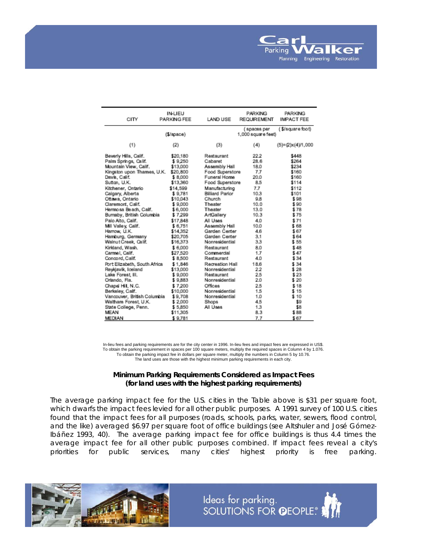$\blacksquare$ kina Planning Engineering Restoration

| CITY                         | <b>IN-LIEU</b><br>PARKING FEE | LAND USE               | PARKING<br><b>REQUIREMENT</b>                         | PARKING<br><b>IMPACT FEE</b>  |
|------------------------------|-------------------------------|------------------------|-------------------------------------------------------|-------------------------------|
| (\$Vspace)                   |                               |                        | (\$/square foot)<br>(spaces per<br>1,000 square feet) |                               |
| (1)                          | (2)                           | (3)                    | (4)                                                   | $(5)= (2) \times (4) / 1,000$ |
| Beverly Hills, Calif.        | \$20,180                      | Restaurant             | 22.2                                                  | \$448                         |
| Palm Springs, Calif.         | \$9.250                       | Cabaret                | 28.6                                                  | \$264                         |
| Mountain View, Calif.        | \$13,000                      | Assembly Hall          | 18.0                                                  | \$234                         |
| Kingston upon Thames, U.K.   | \$20,800                      | Food Superstore        | 7.7                                                   | \$160                         |
| Davis, Calif.                | \$8,000                       | Funeral Home           | 20.0                                                  | \$160                         |
| Suttan, U.K.                 | \$13,360                      | Food Superstore        | 8.5                                                   | \$114                         |
| Kitchener, Ontario           | \$14,599                      | Manufacturing          | 7.7                                                   | \$112                         |
| Calgary, Alberta             | \$9.781                       | <b>Billiard Parlor</b> | 10.3                                                  | \$101                         |
| Ottawa, Ontario              | \$10,043                      | Church                 | 9.8                                                   | \$98                          |
| Claremont, Calif.            | \$9,000                       | Theater                | 10.0                                                  | \$90                          |
| Hermosa Beach, Calif.        | \$6,000                       | Theater                | 13.0                                                  | \$78                          |
| Burnaby, British Columbia    | \$7,299                       | ArtGallery             | 10.3                                                  | \$75                          |
| Palo Alto, Calif.            | \$17,848                      | All Uses               | 4.0                                                   | \$71                          |
| Mill Valley, Calif.          | \$6.751                       | Assembly Hall          | 10.0                                                  | \$68                          |
| Harrow, U.K.                 | \$14,352                      | Garden Center          | 4.6                                                   | \$67                          |
| Hamburg, Germany             | \$20,705                      | Garden Center          | 3.1                                                   | \$64                          |
| Walnut Creek, Calif.         | \$16,373                      | Nonresidential         | 3.3                                                   | \$55                          |
| Kirkland, Wash.              | \$6,000                       | Restaurant             | 8.0                                                   | \$48                          |
| Carmel, Calif.               | \$27,520                      | Commercial             | 1.7                                                   | \$47                          |
| Concord, Calif.              | \$8,500                       | Restaurant             | 4.0                                                   | \$34                          |
| Port Elizabeth, South Africa | \$1,846                       | Recreation Hall        | 18.6                                                  | \$34                          |
| Reykjavik, Iceland           | \$13,000                      | Nonresidential         | 22                                                    | \$28                          |
| Lake Forest, III.            | \$9,000                       | Restaurant             | 2.5                                                   | \$23                          |
| Orlando, Fla.                | \$9,883                       | Nonresidential         | 2.0                                                   | \$20                          |
| Chapel Hill, N.C.            | \$7,200                       | Offices                | 2.5                                                   | \$18                          |
| Berkeley, Calif.             | \$10,000                      | Nonresidential         | 1.5                                                   | \$15                          |
| Vancouver, British Columbia  | \$9,708                       | Nonresidential         | 1.0                                                   | \$10                          |
| Waltham Forest, U.K.         | \$2,000                       | Shops                  | 4.5                                                   | \$9                           |
| State College, Penn.         | \$5,850                       | All Uses               | 1.3                                                   | \$8                           |
| <b>MEAN</b>                  | \$11,305                      |                        | 8.3                                                   | \$88                          |
| <b>MEDIAN</b>                | \$9,781                       |                        | 7.7                                                   | \$67                          |

In-lieu fees and parking requirements are for the city center in 1996. In-lieu fees and impact fees are expressed in US\$. To obtain the parking requirement in spaces per 100 square meters, multiply the required spaces in Column 4 by 1.076. To obtain the parking impact fee in dollars per square meter, multiply the numbers in Column 5 by 10.76.<br>The land uses are those with the highest minimum parking requirements in each city.

#### **Minimum Parking Requirements Considered as Impact Fees (for land uses with the highest parking requirements)**

The average parking impact fee for the U.S. cities in the Table above is \$31 per square foot, which dwarfs the impact fees levied for all other public purposes. A 1991 survey of 100 U.S. cities found that the impact fees for all purposes (roads, schools, parks, water, sewers, flood control, and the like) averaged \$6.97 per square foot of office buildings (see Altshuler and José Gómez-Ibáñez 1993, 40). The average parking impact fee for office buildings is thus 4.4 times the average impact fee for all other public purposes combined. If impact fees reveal a city's priorities for public services, many cities' highest priority is free parking.



Ideas for parking.<br>SOLUTIONS FOR @EOPLE.®